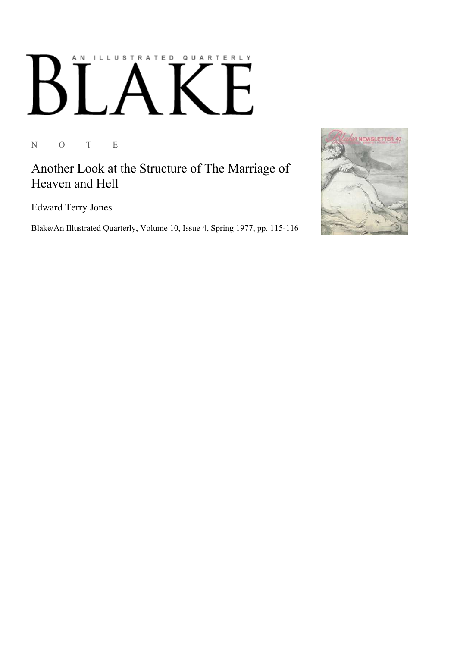## AN ILLUSTRATED QUARTERLY  $\begin{bmatrix} 1 \end{bmatrix}$ E Ӄ

N O T E

Another Look at the Structure of The Marriage of Heaven and Hell

Edward Terry Jones

Blake/An Illustrated Quarterly, Volume 10, Issue 4, Spring 1977, pp. 115-116

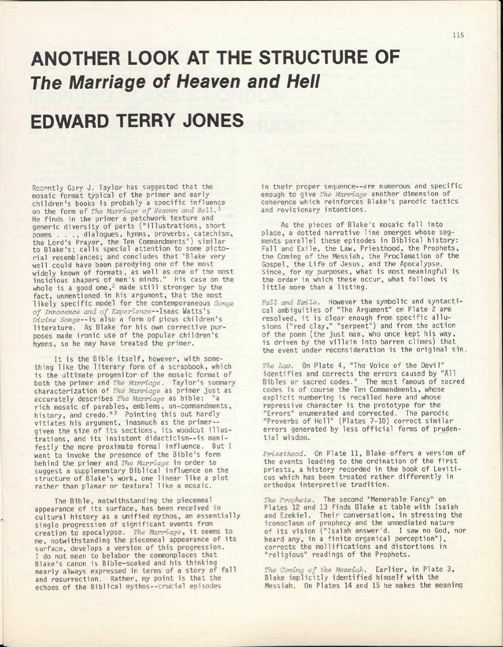## ANOTHER LOOK AT THE STRUCTURE OF *The Marriage of Heaven and Hell*

## EDWARD TERRY JONES

Recently Gary J. Taylor has suggested that the mosaic format typical of the primer and early children's books is probably a specific influence on the form of *The Marriage of Heaven and Bell.<sup>1</sup>* He finds in the primer a patchwork texture and generic diversity of parts ("illustrations, short poems . . ., dialogues, hymns, proverbs, catechism, the Lord's Prayer, the Ten Commandments") similar to Blake's; calls special attention to some pictorial resemblances; and concludes that "Blake very well could have been parodying one of the most widely known of formats, as well as one of the most insidious shapers of men's minds." His case on the whole is a good one,<sup>2</sup> made still stronger by the fact, unmentioned in his argument, that the most likely specific model for the contemporaneous *Songs of Innocence and of Experience-*-Isaac Watts's *Divine Songs--is* also a form of pious children's literature. As Blake for his own corrective purposes made ironic use of the popular children's hymns, so he may have treated the primer.

It is the Bible itself, however, with something like the literary form of a scrapbook, which is the ultimate progenitor of the mosaic format of both the primer and *The Marriage.* Taylor's summary characterization of *The Marriage* as primer just as accurately describes *The Marriage* as bible: "a rich mosaic of parables, emblems, un-commandments, history, and credo."<sup>3</sup> Pointing this out hardly vitiates his argument, inasmuch as the primergiven the size of its sections, its woodcut illustrations, and its insistent didacticism--is manifestly the more proximate formal influence. But I want to invoke the presence of the Bible's form behind the primer and *The Marriage* in order to suggest a supplementary Biblical influence on the structure of Blake's work, one linear like a plot rather than planar or textural like a mosaic.

The Bible, notwithstanding the piecemeal appearance of its surface, has been received in cultural history as a unified mythos, an essentially single progression of significant events from creation to apocalypse. *The Marriage,* it seems to me, notwithstanding the piecemeal appearance of its surface, develops a version of this progression. I do not mean to belabor the commonplaces that Blake's canon is Bible-soaked and his thinking nearly always expressed in terms of a story of fall and resurrection. Rather, my point is that the echoes of the Biblical mythos--crucial episodes

in their proper sequence—are numerous and specific enough to give *The Marriage* another dimension of coherence which reinforces Blake's parodic tactics and revisionary intentions.

As the pieces of Blake's mosaic fall into place, a dotted narrative line emerges whose segments parallel these episodes in Biblical history: Fall and Exile, the Law, Priesthood, the Prophets, the Coming of the Messiah, the Proclamation of the Gospel, the Life of Jesus, and the Apocalypse. Since, for my purposes, what is most meaningful is the order in which these occur, what follows is little more than a listing.

*Fall and Exile.* However the symbolic and syntactical ambiguities of "The Argument" on Plate 2 are resolved, it is clear enough from specific allusions ("red clay," "serpent") and from the action of the poem (the just man, who once kept his way, is driven by the villain into barren climes) that the event under reconsideration is the original sin.

*The Law.* On Plate 4, "The Voice of the Devil" identifies and corrects the errors caused by "All Bibles or sacred codes." The most famous of sacred codes is of course the Ten Commandments, whose explicit numbering is recalled here and whose repressive character is the prototype for the "Errors" enumerated and corrected. The parodic "Proverbs of Hell" (Plates 7-10) correct similar errors generated by less official forms of prudential wisdom.

*Priesthood.* On Plate 11, Blake offers a version of the events leading to the ordination of the first priests, a history recorded in the book of Leviticus which has been treated rather differently in orthodox interpretive tradition.

*The Prophets.* The second "Memorable Fancy" on Plates 12 and 13 finds Blake at table with Isaiah and Ezekiel. Their conversation, in stressing the iconoclasm of prophecy and the unmediated nature of its vision ("Isaiah answer'd. I saw no God, nor heard any, in a finite organical perception"), corrects the mollifications and distortions in "religious" readings of the Prophets.

*The Coming of the Messiah.* Earlier, in Plate 3, Blake implicitly identified himself with the Messiah. On Plates 14 and 15 he makes the meaning